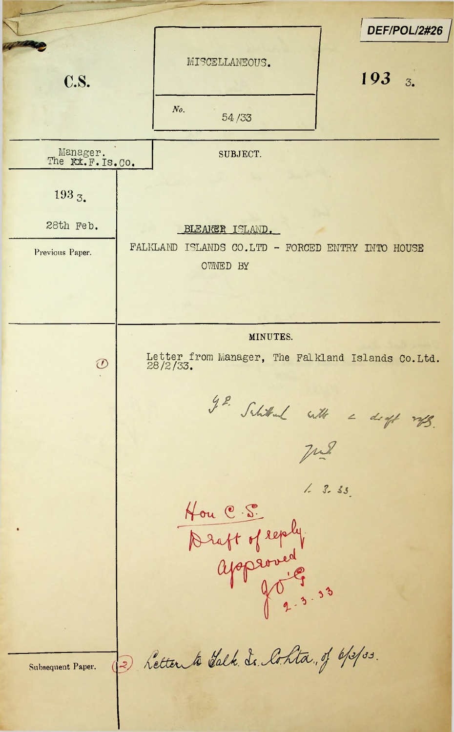*<sup>I</sup> DEF/POL/2#26* MISCELLANEOUS. C.S. *193 3. No. 54/33* Manager. SUBJECT. The **Kx.F.Is.Co.** 193 3. 28th Feb. BLEARER ISLAND. Previous Paper. FALKLAND ISLANDS CO.LTD - FORCED ENTRY INTO HOUSE OWNED BY MINUTES. Letter from Manager, The Falkland Islands Co.Ltd.  $\oslash$ 28/2/33.g. Schitchen with a digt mpg.  $7.2$ Hou C. S.<br>Draft of reply<br>approved<br>40, 3.33 2 Letter to Salk. Is. Cohta, of 6/3/33. Subsequent Paper.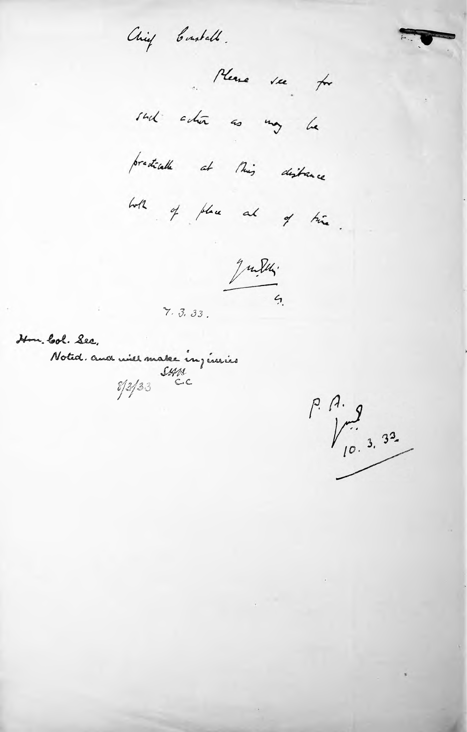Chief Constable.

Please see for

sud edin as my la

predicalle at this distance

with of place at of time

 $\frac{9}{4}$ 

 $7.3.33.$ 

Hon. Col. Sec.

Noted. and will make in justice

 $P. A.$ <br> $P. A.$ <br> $P. 3.33$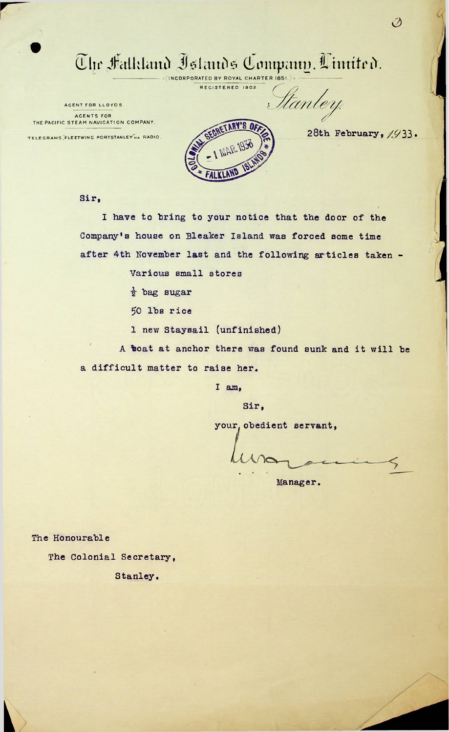## $\overline{\mathbb{C}}$ lte Halkland <u>Islands Company, Cimited.</u>

INCORPORATED BY ROYAL CHARTER REGISTERED 1902.

AGENT FOR LLOYDS. AGENTS FOR THE PACIFIC STEAM NAVIGATION COMPANY.

TELEGRAMS, FLEETWING PORTSTANLEY VIA RADIO



28th February,  $/933$ .

Stanley.

Ø

Sir,

I have to bring to your notice that the door of the Company's house on Bleaker Island was forced some time after 4th November last and the following articles taken -

Various small stores

*i* bag sugar

50 lbs rice

1 new Staysail (unfinished)

A boat at anchor there was found sunk and it will be a difficult matter to raise her.

Sir,

I am,

your, obedient servant,

Manager.

The Honourable

**k**

The Colonial Secretary,

Stanley.